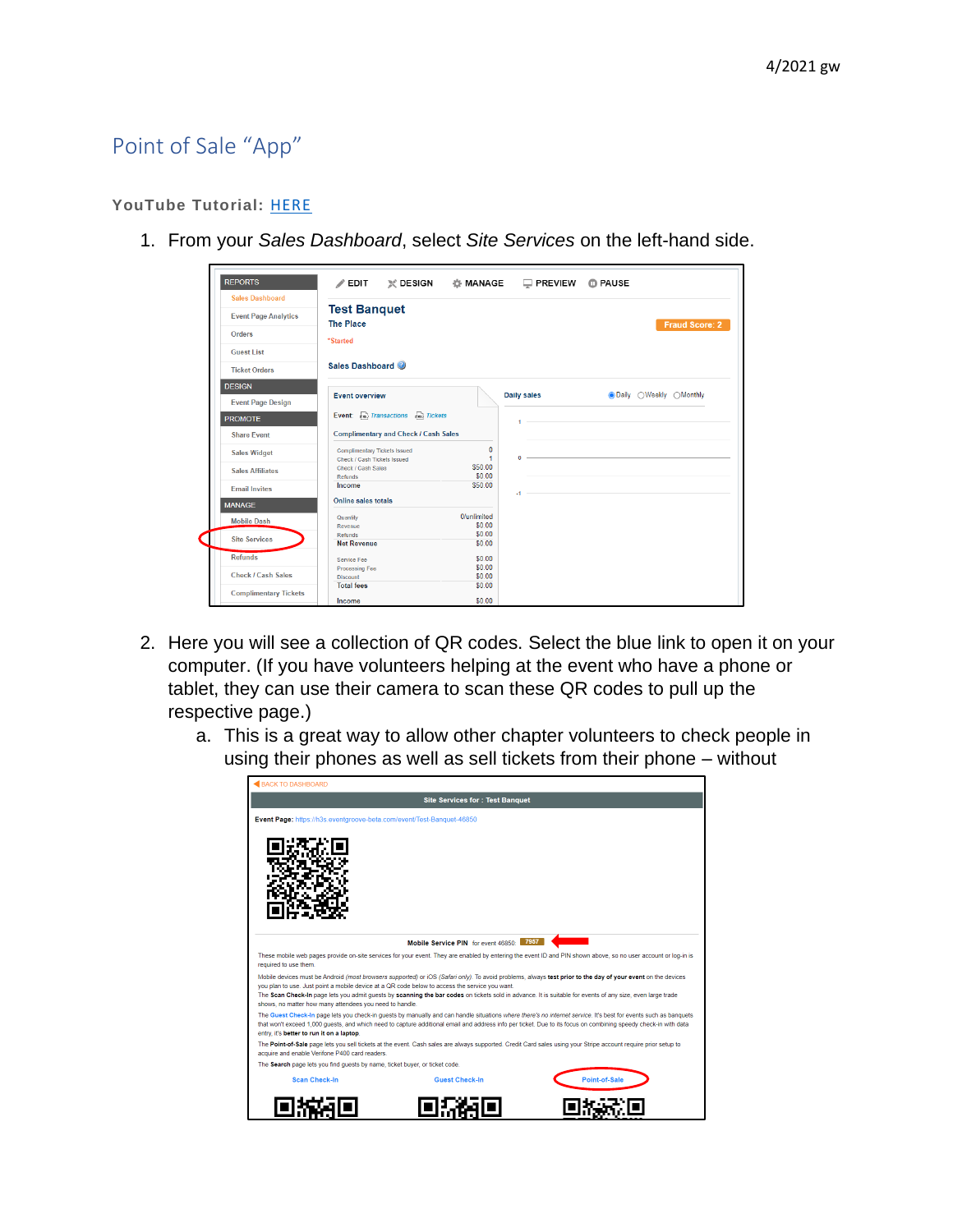## Point of Sale "App"

## **YouTube Tutorial:** [HERE](https://youtu.be/CgRIl_lNEVs)

1. From your *Sales Dashboard*, select *Site Services* on the left-hand side.

| <b>REPORTS</b>               | $\mathscr{P}$ EDIT                                                 |                       | ※ DESIGN & MANAGE □ PREVIEW ① PAUSE |                                |
|------------------------------|--------------------------------------------------------------------|-----------------------|-------------------------------------|--------------------------------|
| <b>Sales Dashboard</b>       |                                                                    |                       |                                     |                                |
| <b>Event Page Analytics</b>  | <b>Test Banquet</b><br><b>The Place</b>                            |                       |                                     |                                |
| <b>Orders</b>                | *Started                                                           |                       |                                     | <b>Fraud Score: 2</b>          |
| <b>Guest List</b>            |                                                                    |                       |                                     |                                |
| <b>Ticket Orders</b>         | Sales Dashboard                                                    |                       |                                     |                                |
| <b>DESIGN</b>                |                                                                    |                       |                                     |                                |
| <b>Event Page Design</b>     | <b>Event overview</b>                                              |                       | Daily sales                         | <b>ODaily</b> OWeekly OMonthly |
| <b>PROMOTE</b>               | Event: cso Transactions cso Tickets                                |                       | $1 -$                               |                                |
| <b>Share Event</b>           | <b>Complimentary and Check / Cash Sales</b>                        |                       |                                     |                                |
| <b>Sales Widget</b>          | <b>Complimentary Tickets Issued</b><br>Check / Cash Tickets Issued | $\mathbf{0}$<br>1     | $0 -$                               |                                |
| <b>Sales Affiliates</b>      | Check / Cash Sales<br>Refunds                                      | \$50.00<br>\$0.00     |                                     |                                |
| <b>Email Invites</b>         | Income                                                             | \$50.00               | $-1 -$                              |                                |
| <b>MANAGE</b>                | Online sales totals                                                |                       |                                     |                                |
| <b>Mobile Dash</b>           | Quantity<br>Revenue                                                | 0/unlimited<br>\$0.00 |                                     |                                |
| <b>Site Services</b>         | Refunds<br><b>Net Revenue</b>                                      | \$0.00<br>\$0.00      |                                     |                                |
| <b>Refunds</b>               | Service Fee                                                        | \$0.00                |                                     |                                |
| <b>Check / Cash Sales</b>    | <b>Processing Fee</b><br><b>Discount</b>                           | \$0.00<br>\$0.00      |                                     |                                |
| <b>Complimentary Tickets</b> | <b>Total fees</b><br>Income                                        | \$0.00<br>\$0.00      |                                     |                                |

- 2. Here you will see a collection of QR codes. Select the blue link to open it on your computer. (If you have volunteers helping at the event who have a phone or tablet, they can use their camera to scan these QR codes to pull up the respective page.)
	- a. This is a great way to allow other chapter volunteers to check people in using their phones as well as sell tickets from their phone – without

|                                                                             | <b>Site Services for: Test Banquet</b>                                                                                                                                                                                                                                                                                                                                                                                      |
|-----------------------------------------------------------------------------|-----------------------------------------------------------------------------------------------------------------------------------------------------------------------------------------------------------------------------------------------------------------------------------------------------------------------------------------------------------------------------------------------------------------------------|
| Event Page: https://h3s.eventgroove-beta.com/event/Test-Banquet-46850       |                                                                                                                                                                                                                                                                                                                                                                                                                             |
|                                                                             |                                                                                                                                                                                                                                                                                                                                                                                                                             |
|                                                                             |                                                                                                                                                                                                                                                                                                                                                                                                                             |
|                                                                             | Mobile Service PIN for event 46850: 7957                                                                                                                                                                                                                                                                                                                                                                                    |
| required to use them.                                                       | These mobile web pages provide on-site services for your event. They are enabled by entering the event ID and PIN shown above, so no user account or log-in is                                                                                                                                                                                                                                                              |
|                                                                             | Mobile devices must be Android (most browsers supported) or iOS (Safari only). To avoid problems, always test prior to the day of your event on the devices<br>you plan to use. Just point a mobile device at a QR code below to access the service you want.<br>The Scan Check-In page lets you admit quests by scanning the bar codes on tickets sold in advance. It is suitable for events of any size, even large trade |
| shows, no matter how many attendees you need to handle.                     |                                                                                                                                                                                                                                                                                                                                                                                                                             |
| entry, it's better to run it on a laptop.                                   | The Guest Check-In page lets you check-in guests by manually and can handle situations where there's no internet service. It's best for events such as banquets<br>that won't exceed 1,000 quests, and which need to capture additional email and address info per ticket. Due to its focus on combining speedy check-in with data                                                                                          |
| acquire and enable Verifone P400 card readers.                              | The Point-of-Sale page lets you sell tickets at the event. Cash sales are always supported. Credit Card sales using your Stripe account require prior setup to                                                                                                                                                                                                                                                              |
| The Search page lets you find guests by name, ticket buyer, or ticket code. |                                                                                                                                                                                                                                                                                                                                                                                                                             |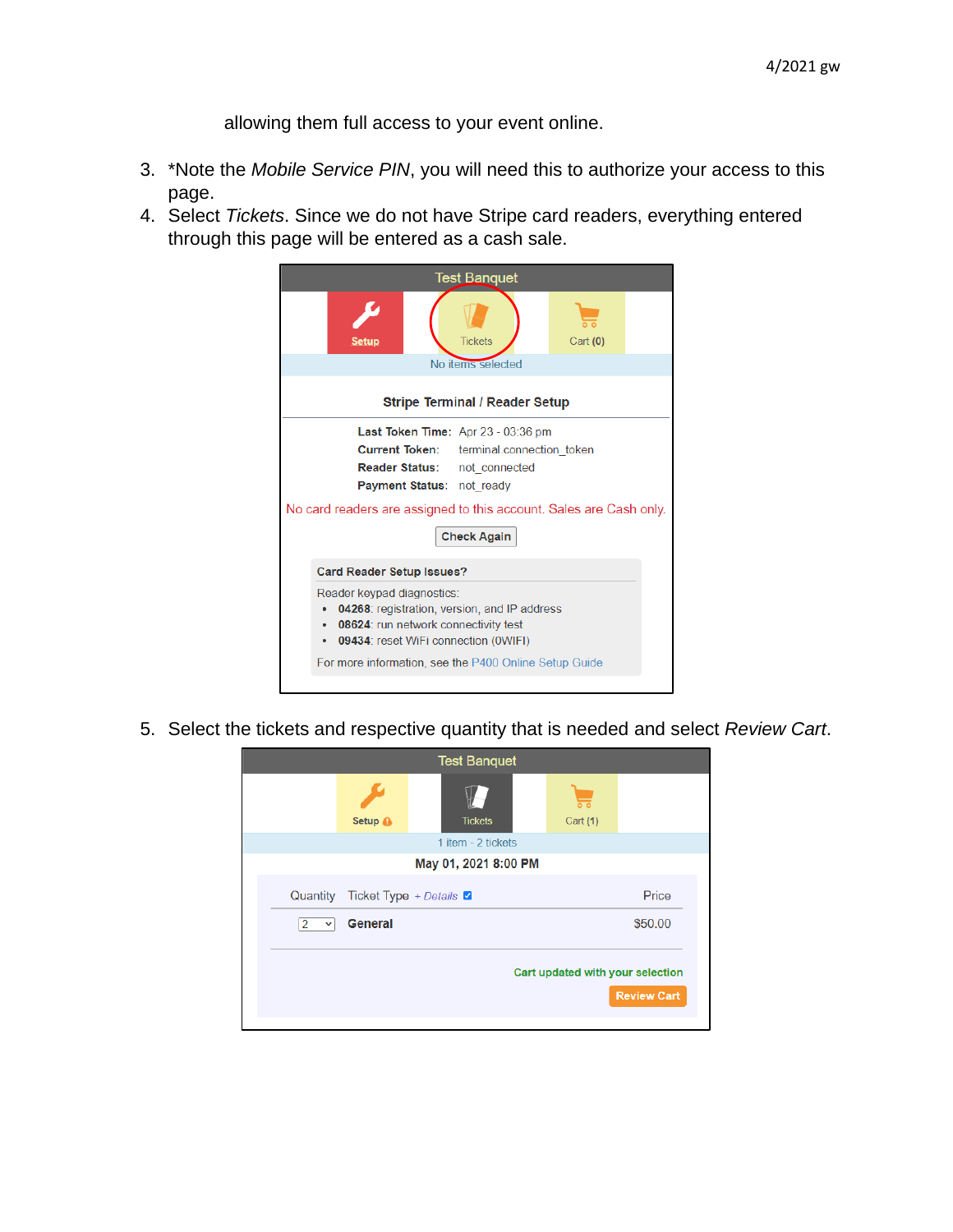allowing them full access to your event online.

- 3. \*Note the *Mobile Service PIN*, you will need this to authorize your access to this page.
- 4. Select *Tickets*. Since we do not have Stripe card readers, everything entered through this page will be entered as a cash sale.

|                                                                                                                                                                                                                                                 | <b>Test Banquet</b>                   |            |  |  |  |
|-------------------------------------------------------------------------------------------------------------------------------------------------------------------------------------------------------------------------------------------------|---------------------------------------|------------|--|--|--|
| Setup                                                                                                                                                                                                                                           | <b>Tickets</b>                        | Cart $(0)$ |  |  |  |
|                                                                                                                                                                                                                                                 | No items selected                     |            |  |  |  |
|                                                                                                                                                                                                                                                 | <b>Stripe Terminal / Reader Setup</b> |            |  |  |  |
| <b>Last Token Time:</b> Apr $23 - 03:36$ pm<br><b>Current Token:</b> terminal.connection token<br><b>Reader Status:</b> not connected<br><b>Payment Status: not ready</b><br>No card readers are assigned to this account. Sales are Cash only. | <b>Check Again</b>                    |            |  |  |  |
| <b>Card Reader Setup Issues?</b>                                                                                                                                                                                                                |                                       |            |  |  |  |
| Reader keypad diagnostics:<br>04268: registration, version, and IP address<br>٠<br>08624: run network connectivity test<br>٠<br>09434: reset WiFi connection (OWIFI)<br>٠                                                                       |                                       |            |  |  |  |
| For more information, see the P400 Online Setup Guide                                                                                                                                                                                           |                                       |            |  |  |  |

5. Select the tickets and respective quantity that is needed and select *Review Cart*.

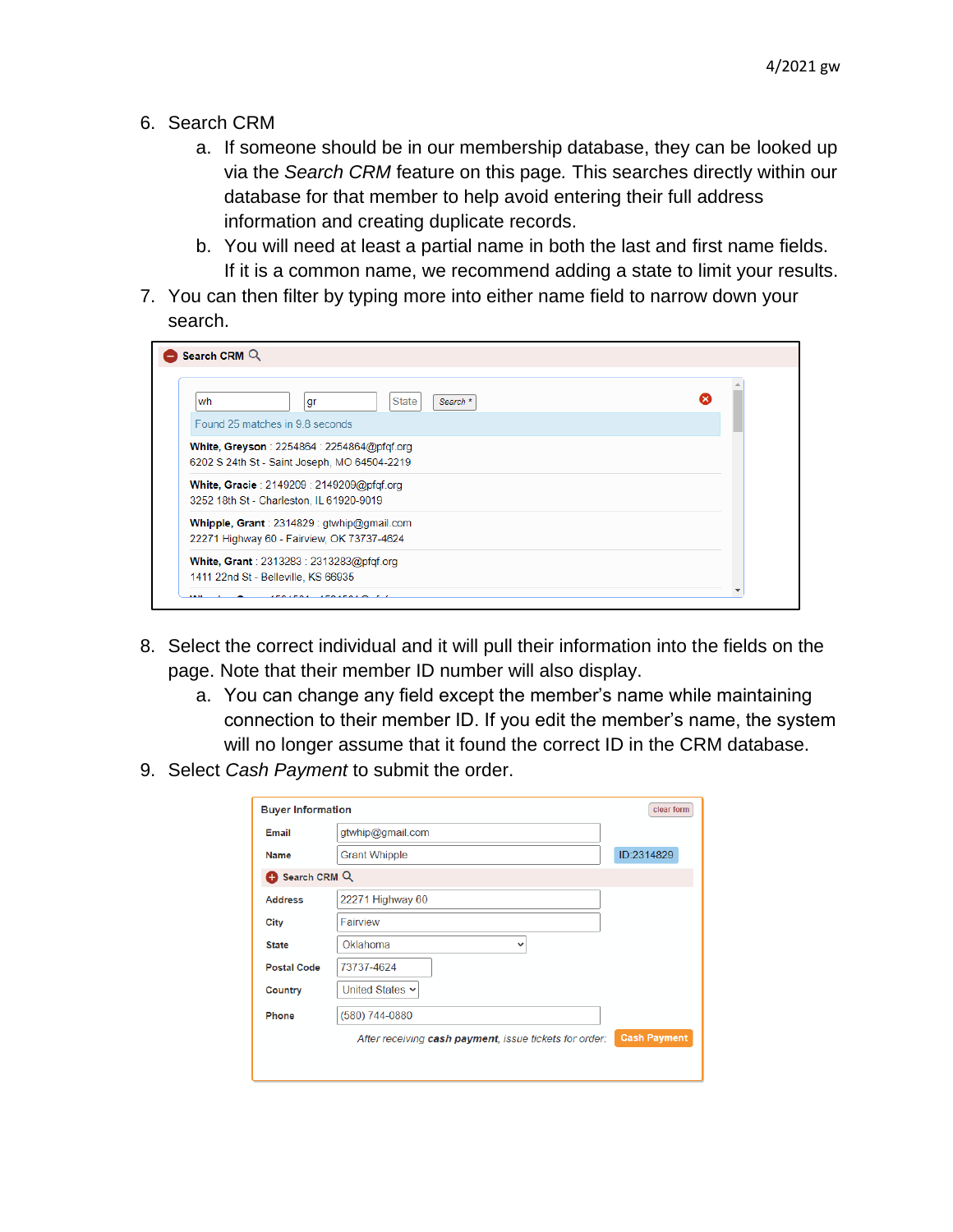- 6. Search CRM
	- a. If someone should be in our membership database, they can be looked up via the *Search CRM* feature on this page*.* This searches directly within our database for that member to help avoid entering their full address information and creating duplicate records.
	- b. You will need at least a partial name in both the last and first name fields. If it is a common name, we recommend adding a state to limit your results.
- 7. You can then filter by typing more into either name field to narrow down your search.

| <b>State</b><br>wh<br>Search <sup>*</sup><br>gr                                            | × |
|--------------------------------------------------------------------------------------------|---|
| Found 25 matches in 9.8 seconds                                                            |   |
| White, Greyson: $2254864:2254864@pfqf.org$<br>6202 S 24th St - Saint Joseph, MO 64504-2219 |   |
| White, Gracie: 2149209: 2149209@pfqf.org<br>3252 18th St - Charleston, IL 61920-9019       |   |
| Whipple, Grant: 2314829: gtwhip@gmail.com<br>22271 Highway 60 - Fairview, OK 73737-4624    |   |
| White, Grant: 2313283: 2313283@pfgf.org<br>1411 22nd St - Belleville, KS 66935             |   |

- 8. Select the correct individual and it will pull their information into the fields on the page. Note that their member ID number will also display.
	- a. You can change any field except the member's name while maintaining connection to their member ID. If you edit the member's name, the system will no longer assume that it found the correct ID in the CRM database.
- 9. Select *Cash Payment* to submit the order.

| <b>Buyer Information</b> | clear form                                                                    |
|--------------------------|-------------------------------------------------------------------------------|
| Email                    | gtwhip@gmail.com                                                              |
| <b>Name</b>              | ID:2314829<br><b>Grant Whipple</b>                                            |
| Search CRM Q             |                                                                               |
| <b>Address</b>           | 22271 Highway 60                                                              |
| City                     | Fairview                                                                      |
| <b>State</b>             | Oklahoma<br>$\check{ }$                                                       |
| <b>Postal Code</b>       | 73737-4624                                                                    |
| Country                  | United States v                                                               |
| Phone                    | (580) 744-0880                                                                |
|                          | <b>Cash Payment</b><br>After receiving cash payment, issue tickets for order: |